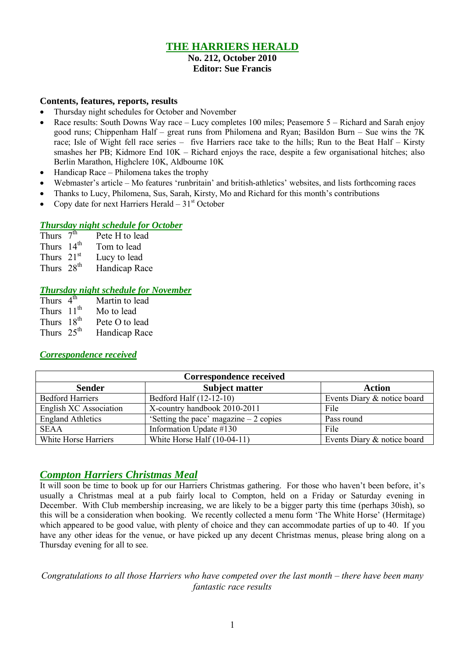# **THE HARRIERS HERALD**

#### **No. 212, October 2010 Editor: Sue Francis**

#### **Contents, features, reports, results**

- Thursday night schedules for October and November
- Race results: South Downs Way race Lucy completes 100 miles; Peasemore 5 Richard and Sarah enjoy good runs; Chippenham Half – great runs from Philomena and Ryan; Basildon Burn – Sue wins the 7K race; Isle of Wight fell race series – five Harriers race take to the hills; Run to the Beat Half – Kirsty smashes her PB; Kidmore End 10K – Richard enjoys the race, despite a few organisational hitches; also Berlin Marathon, Highclere 10K, Aldbourne 10K
- Handicap Race Philomena takes the trophy
- Webmaster's article Mo features 'runbritain' and british-athletics' websites, and lists forthcoming races
- Thanks to Lucy, Philomena, Sus, Sarah, Kirsty, Mo and Richard for this month's contributions
- Copy date for next Harriers Herald  $-31<sup>st</sup>$  October

### *Thursday night schedule for October*

| Thurs $7th$            | Pete H to lead |
|------------------------|----------------|
| Thurs $14th$           | Tom to lead    |
| Thurs $21st$           | Lucy to lead   |
| Thurs 28 <sup>th</sup> | Handicap Race  |

### *Thursday night schedule for November*

| Thurs $4th$            | Martin to lead |
|------------------------|----------------|
| Thurs 11 <sup>th</sup> | Mo to lead     |
| Thurs 18 <sup>th</sup> | Pete O to lead |
| Thurs $25th$           | Handicap Race  |

### *Correspondence received*

| Correspondence received  |                                         |                             |  |  |  |
|--------------------------|-----------------------------------------|-----------------------------|--|--|--|
| <b>Sender</b>            | <b>Subject matter</b>                   | <b>Action</b>               |  |  |  |
| <b>Bedford Harriers</b>  | Bedford Half (12-12-10)                 | Events Diary & notice board |  |  |  |
| English XC Association   | X-country handbook 2010-2011            | File                        |  |  |  |
| <b>England Athletics</b> | 'Setting the pace' magazine $-2$ copies | Pass round                  |  |  |  |
| <b>SEAA</b>              | Information Update #130                 | File                        |  |  |  |
| White Horse Harriers     | White Horse Half (10-04-11)             | Events Diary & notice board |  |  |  |

## *Compton Harriers Christmas Meal*

It will soon be time to book up for our Harriers Christmas gathering. For those who haven't been before, it's usually a Christmas meal at a pub fairly local to Compton, held on a Friday or Saturday evening in December. With Club membership increasing, we are likely to be a bigger party this time (perhaps 30ish), so this will be a consideration when booking. We recently collected a menu form 'The White Horse' (Hermitage) which appeared to be good value, with plenty of choice and they can accommodate parties of up to 40. If you have any other ideas for the venue, or have picked up any decent Christmas menus, please bring along on a Thursday evening for all to see.

*Congratulations to all those Harriers who have competed over the last month – there have been many fantastic race results*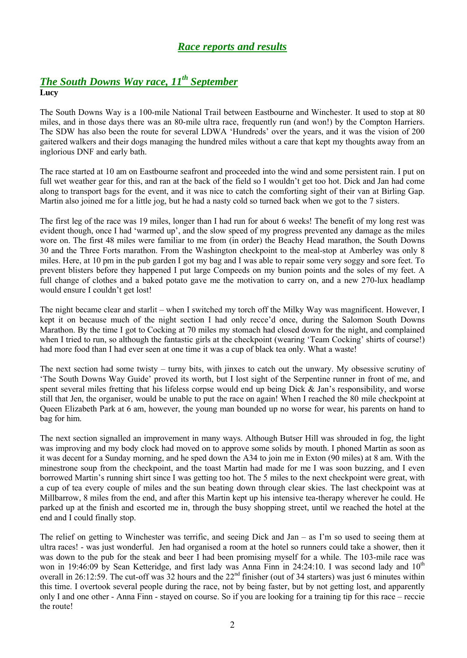# *Race reports and results*

### *The South Downs Way race, 11th September* **Lucy**

The South Downs Way is a 100-mile National Trail between Eastbourne and Winchester. It used to stop at 80 miles, and in those days there was an 80-mile ultra race, frequently run (and won!) by the Compton Harriers. The SDW has also been the route for several LDWA 'Hundreds' over the years, and it was the vision of 200 gaitered walkers and their dogs managing the hundred miles without a care that kept my thoughts away from an inglorious DNF and early bath.

The race started at 10 am on Eastbourne seafront and proceeded into the wind and some persistent rain. I put on full wet weather gear for this, and ran at the back of the field so I wouldn't get too hot. Dick and Jan had come along to transport bags for the event, and it was nice to catch the comforting sight of their van at Birling Gap. Martin also joined me for a little jog, but he had a nasty cold so turned back when we got to the 7 sisters.

The first leg of the race was 19 miles, longer than I had run for about 6 weeks! The benefit of my long rest was evident though, once I had 'warmed up', and the slow speed of my progress prevented any damage as the miles wore on. The first 48 miles were familiar to me from (in order) the Beachy Head marathon, the South Downs 30 and the Three Forts marathon. From the Washington checkpoint to the meal-stop at Amberley was only 8 miles. Here, at 10 pm in the pub garden I got my bag and I was able to repair some very soggy and sore feet. To prevent blisters before they happened I put large Compeeds on my bunion points and the soles of my feet. A full change of clothes and a baked potato gave me the motivation to carry on, and a new 270-lux headlamp would ensure I couldn't get lost!

The night became clear and starlit – when I switched my torch off the Milky Way was magnificent. However, I kept it on because much of the night section I had only recce'd once, during the Salomon South Downs Marathon. By the time I got to Cocking at 70 miles my stomach had closed down for the night, and complained when I tried to run, so although the fantastic girls at the checkpoint (wearing 'Team Cocking' shirts of course!) had more food than I had ever seen at one time it was a cup of black tea only. What a waste!

The next section had some twisty – turny bits, with jinxes to catch out the unwary. My obsessive scrutiny of 'The South Downs Way Guide' proved its worth, but I lost sight of the Serpentine runner in front of me, and spent several miles fretting that his lifeless corpse would end up being Dick & Jan's responsibility, and worse still that Jen, the organiser, would be unable to put the race on again! When I reached the 80 mile checkpoint at Queen Elizabeth Park at 6 am, however, the young man bounded up no worse for wear, his parents on hand to bag for him.

The next section signalled an improvement in many ways. Although Butser Hill was shrouded in fog, the light was improving and my body clock had moved on to approve some solids by mouth. I phoned Martin as soon as it was decent for a Sunday morning, and he sped down the A34 to join me in Exton (90 miles) at 8 am. With the minestrone soup from the checkpoint, and the toast Martin had made for me I was soon buzzing, and I even borrowed Martin's running shirt since I was getting too hot. The 5 miles to the next checkpoint were great, with a cup of tea every couple of miles and the sun beating down through clear skies. The last checkpoint was at Millbarrow, 8 miles from the end, and after this Martin kept up his intensive tea-therapy wherever he could. He parked up at the finish and escorted me in, through the busy shopping street, until we reached the hotel at the end and I could finally stop.

The relief on getting to Winchester was terrific, and seeing Dick and Jan – as I'm so used to seeing them at ultra races! - was just wonderful. Jen had organised a room at the hotel so runners could take a shower, then it was down to the pub for the steak and beer I had been promising myself for a while. The 103-mile race was won in 19:46:09 by Sean Ketteridge, and first lady was Anna Finn in 24:24:10. I was second lady and 10<sup>th</sup> overall in 26:12:59. The cut-off was 32 hours and the 22<sup>nd</sup> finisher (out of 34 starters) was just 6 minutes within this time. I overtook several people during the race, not by being faster, but by not getting lost, and apparently only I and one other - Anna Finn - stayed on course. So if you are looking for a training tip for this race – reccie the route!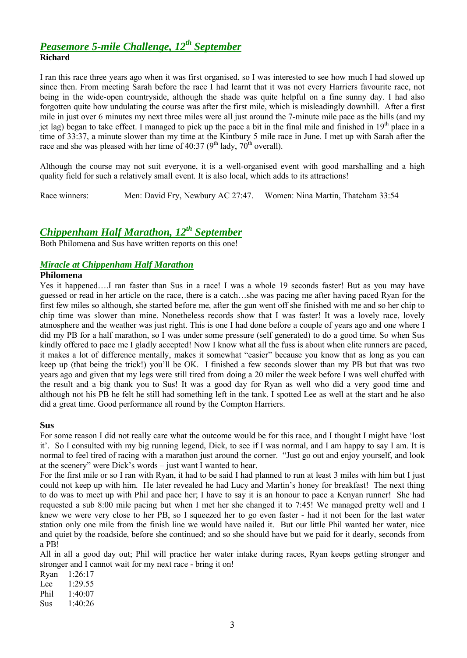## *Peasemore 5-mile Challenge, 12th September* **Richard**

I ran this race three years ago when it was first organised, so I was interested to see how much I had slowed up since then. From meeting Sarah before the race I had learnt that it was not every Harriers favourite race, not being in the wide-open countryside, although the shade was quite helpful on a fine sunny day. I had also forgotten quite how undulating the course was after the first mile, which is misleadingly downhill. After a first mile in just over 6 minutes my next three miles were all just around the 7-minute mile pace as the hills (and my jet lag) began to take effect. I managed to pick up the pace a bit in the final mile and finished in  $19<sup>th</sup>$  place in a time of 33:37, a minute slower than my time at the Kintbury 5 mile race in June. I met up with Sarah after the race and she was pleased with her time of 40:37 ( $9<sup>th</sup>$  lady,  $70<sup>th</sup>$  overall).

Although the course may not suit everyone, it is a well-organised event with good marshalling and a high quality field for such a relatively small event. It is also local, which adds to its attractions!

Race winners: Men: David Fry, Newbury AC 27:47. Women: Nina Martin, Thatcham 33:54

# *Chippenham Half Marathon, 12th September*

Both Philomena and Sus have written reports on this one!

### *Miracle at Chippenham Half Marathon*

#### **Philomena**

Yes it happened….I ran faster than Sus in a race! I was a whole 19 seconds faster! But as you may have guessed or read in her article on the race, there is a catch…she was pacing me after having paced Ryan for the first few miles so although, she started before me, after the gun went off she finished with me and so her chip to chip time was slower than mine. Nonetheless records show that I was faster! It was a lovely race, lovely atmosphere and the weather was just right. This is one I had done before a couple of years ago and one where I did my PB for a half marathon, so I was under some pressure (self generated) to do a good time. So when Sus kindly offered to pace me I gladly accepted! Now I know what all the fuss is about when elite runners are paced, it makes a lot of difference mentally, makes it somewhat "easier" because you know that as long as you can keep up (that being the trick!) you'll be OK. I finished a few seconds slower than my PB but that was two years ago and given that my legs were still tired from doing a 20 miler the week before I was well chuffed with the result and a big thank you to Sus! It was a good day for Ryan as well who did a very good time and although not his PB he felt he still had something left in the tank. I spotted Lee as well at the start and he also did a great time. Good performance all round by the Compton Harriers.

#### **Sus**

For some reason I did not really care what the outcome would be for this race, and I thought I might have 'lost it'. So I consulted with my big running legend, Dick, to see if I was normal, and I am happy to say I am. It is normal to feel tired of racing with a marathon just around the corner. "Just go out and enjoy yourself, and look at the scenery" were Dick's words – just want I wanted to hear.

For the first mile or so I ran with Ryan, it had to be said I had planned to run at least 3 miles with him but I just could not keep up with him. He later revealed he had Lucy and Martin's honey for breakfast! The next thing to do was to meet up with Phil and pace her; I have to say it is an honour to pace a Kenyan runner! She had requested a sub 8:00 mile pacing but when I met her she changed it to 7:45! We managed pretty well and I knew we were very close to her PB, so I squeezed her to go even faster - had it not been for the last water station only one mile from the finish line we would have nailed it. But our little Phil wanted her water, nice and quiet by the roadside, before she continued; and so she should have but we paid for it dearly, seconds from a PB!

All in all a good day out; Phil will practice her water intake during races, Ryan keeps getting stronger and stronger and I cannot wait for my next race - bring it on!

Ryan 1:26:17 Lee 1:29.55 Phil 1:40:07 Sus 1:40:26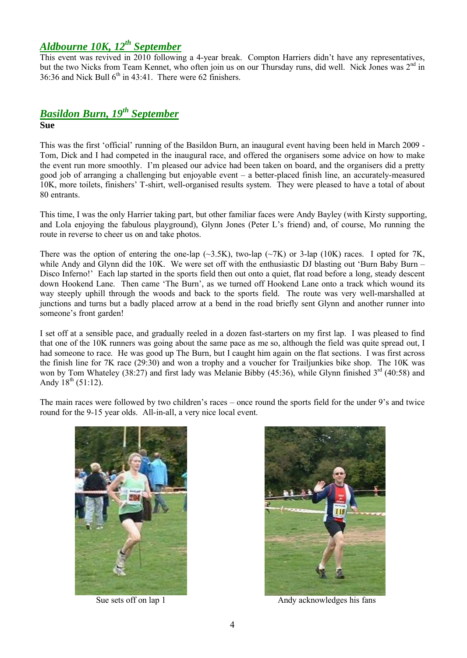# *Aldbourne 10K, 12th September*

This event was revived in 2010 following a 4-year break. Compton Harriers didn't have any representatives, but the two Nicks from Team Kennet, who often join us on our Thursday runs, did well. Nick Jones was 2<sup>nd</sup> in 36:36 and Nick Bull  $6<sup>th</sup>$  in 43:41. There were 62 finishers.

# *Basildon Burn, 19th September* **Sue**

This was the first 'official' running of the Basildon Burn, an inaugural event having been held in March 2009 - Tom, Dick and I had competed in the inaugural race, and offered the organisers some advice on how to make the event run more smoothly. I'm pleased our advice had been taken on board, and the organisers did a pretty good job of arranging a challenging but enjoyable event – a better-placed finish line, an accurately-measured 10K, more toilets, finishers' T-shirt, well-organised results system. They were pleased to have a total of about 80 entrants.

This time, I was the only Harrier taking part, but other familiar faces were Andy Bayley (with Kirsty supporting, and Lola enjoying the fabulous playground), Glynn Jones (Peter L's friend) and, of course, Mo running the route in reverse to cheer us on and take photos.

There was the option of entering the one-lap ( $\sim$ 3.5K), two-lap ( $\sim$ 7K) or 3-lap (10K) races. I opted for 7K, while Andy and Glynn did the 10K. We were set off with the enthusiastic DJ blasting out 'Burn Baby Burn – Disco Inferno!' Each lap started in the sports field then out onto a quiet, flat road before a long, steady descent down Hookend Lane. Then came 'The Burn', as we turned off Hookend Lane onto a track which wound its way steeply uphill through the woods and back to the sports field. The route was very well-marshalled at junctions and turns but a badly placed arrow at a bend in the road briefly sent Glynn and another runner into someone's front garden!

I set off at a sensible pace, and gradually reeled in a dozen fast-starters on my first lap. I was pleased to find that one of the 10K runners was going about the same pace as me so, although the field was quite spread out, I had someone to race. He was good up The Burn, but I caught him again on the flat sections. I was first across the finish line for 7K race (29:30) and won a trophy and a voucher for Trailjunkies bike shop. The 10K was won by Tom Whateley (38:27) and first lady was Melanie Bibby (45:36), while Glynn finished 3<sup>rd</sup> (40:58) and Andy  $18^{th}$  (51:12).

The main races were followed by two children's races – once round the sports field for the under 9's and twice round for the 9-15 year olds. All-in-all, a very nice local event.





Sue sets off on lap 1 Andy acknowledges his fans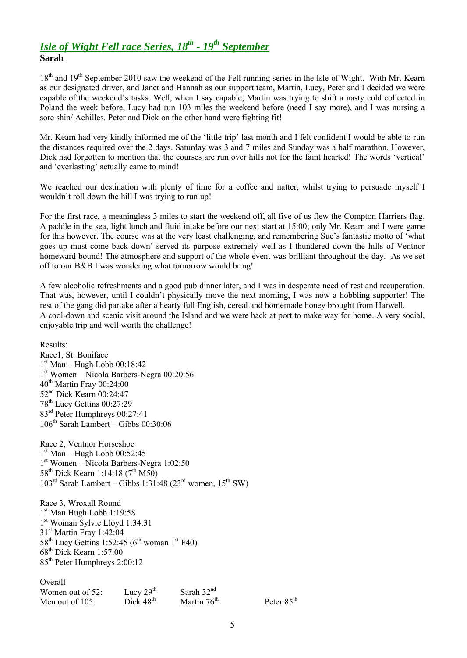## *Isle of Wight Fell race Series, 18th - 19th September* **Sarah**

18<sup>th</sup> and 19<sup>th</sup> September 2010 saw the weekend of the Fell running series in the Isle of Wight. With Mr. Kearn as our designated driver, and Janet and Hannah as our support team, Martin, Lucy, Peter and I decided we were capable of the weekend's tasks. Well, when I say capable; Martin was trying to shift a nasty cold collected in Poland the week before, Lucy had run 103 miles the weekend before (need I say more), and I was nursing a sore shin/ Achilles. Peter and Dick on the other hand were fighting fit!

Mr. Kearn had very kindly informed me of the 'little trip' last month and I felt confident I would be able to run the distances required over the 2 days. Saturday was 3 and 7 miles and Sunday was a half marathon. However, Dick had forgotten to mention that the courses are run over hills not for the faint hearted! The words 'vertical' and 'everlasting' actually came to mind!

We reached our destination with plenty of time for a coffee and natter, whilst trying to persuade myself I wouldn't roll down the hill I was trying to run up!

For the first race, a meaningless 3 miles to start the weekend off, all five of us flew the Compton Harriers flag. A paddle in the sea, light lunch and fluid intake before our next start at 15:00; only Mr. Kearn and I were game for this however. The course was at the very least challenging, and remembering Sue's fantastic motto of 'what goes up must come back down' served its purpose extremely well as I thundered down the hills of Ventnor homeward bound! The atmosphere and support of the whole event was brilliant throughout the day. As we set off to our B&B I was wondering what tomorrow would bring!

A few alcoholic refreshments and a good pub dinner later, and I was in desperate need of rest and recuperation. That was, however, until I couldn't physically move the next morning, I was now a hobbling supporter! The rest of the gang did partake after a hearty full English, cereal and homemade honey brought from Harwell. A cool-down and scenic visit around the Island and we were back at port to make way for home. A very social, enjoyable trip and well worth the challenge!

Results: Race1, St. Boniface 1 st Man – Hugh Lobb 00:18:42 1 st Women – Nicola Barbers-Negra 00:20:56  $40<sup>th</sup>$  Martin Fray 00:24:00 52<sup>nd</sup> Dick Kearn 00:24:47 78th Lucy Gettins 00:27:29 83rd Peter Humphreys 00:27:41  $106^{th}$  Sarah Lambert – Gibbs  $00:30:06$ Race 2, Ventnor Horseshoe 1 st Man – Hugh Lobb 00:52:45 1 st Women – Nicola Barbers-Negra 1:02:50 58<sup>th</sup> Dick Kearn 1:14:18 (7<sup>th</sup> M50)  $103^{\text{rd}}$  Sarah Lambert – Gibbs 1:31:48 (23<sup>rd</sup> women, 15<sup>th</sup> SW) Race 3, Wroxall Round 1 st Man Hugh Lobb 1:19:58 1 st Woman Sylvie Lloyd 1:34:31 31<sup>st</sup> Martin Fray 1:42:04  $58<sup>th</sup>$  Lucy Gettins 1:52:45 (6<sup>th</sup> woman 1<sup>st</sup> F40)  $68^{\text{th}}$  Dick Kearn 1:57:00 85th Peter Humphreys 2:00:12 **Overall** Women out of 52: Lucy  $29^{th}$  Sarah  $32^{nd}$ <br>Men out of 105: Dick  $48^{th}$  Martin  $76^{th}$ Men out of 105: Dick  $48^{th}$  Martin  $76^{th}$  Peter  $85^{th}$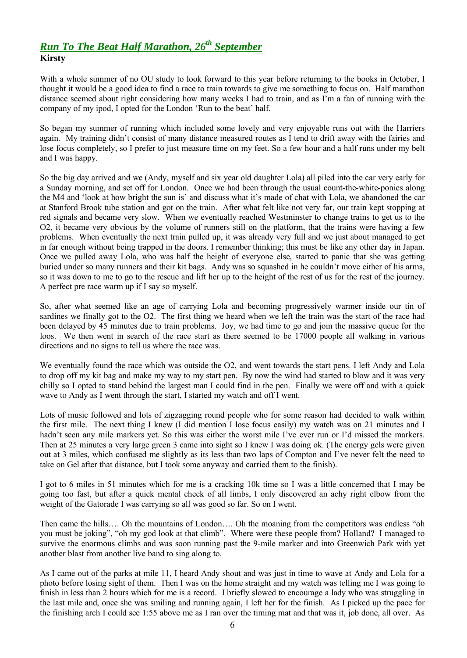# *Run To The Beat Half Marathon, 26th September* **Kirsty**

With a whole summer of no OU study to look forward to this year before returning to the books in October, I thought it would be a good idea to find a race to train towards to give me something to focus on. Half marathon distance seemed about right considering how many weeks I had to train, and as I'm a fan of running with the company of my ipod, I opted for the London 'Run to the beat' half.

So began my summer of running which included some lovely and very enjoyable runs out with the Harriers again. My training didn't consist of many distance measured routes as I tend to drift away with the fairies and lose focus completely, so I prefer to just measure time on my feet. So a few hour and a half runs under my belt and I was happy.

So the big day arrived and we (Andy, myself and six year old daughter Lola) all piled into the car very early for a Sunday morning, and set off for London. Once we had been through the usual count-the-white-ponies along the M4 and 'look at how bright the sun is' and discuss what it's made of chat with Lola, we abandoned the car at Stanford Brook tube station and got on the train. After what felt like not very far, our train kept stopping at red signals and became very slow. When we eventually reached Westminster to change trains to get us to the O2, it became very obvious by the volume of runners still on the platform, that the trains were having a few problems. When eventually the next train pulled up, it was already very full and we just about managed to get in far enough without being trapped in the doors. I remember thinking; this must be like any other day in Japan. Once we pulled away Lola, who was half the height of everyone else, started to panic that she was getting buried under so many runners and their kit bags. Andy was so squashed in he couldn't move either of his arms, so it was down to me to go to the rescue and lift her up to the height of the rest of us for the rest of the journey. A perfect pre race warm up if I say so myself.

So, after what seemed like an age of carrying Lola and becoming progressively warmer inside our tin of sardines we finally got to the O2. The first thing we heard when we left the train was the start of the race had been delayed by 45 minutes due to train problems. Joy, we had time to go and join the massive queue for the loos. We then went in search of the race start as there seemed to be 17000 people all walking in various directions and no signs to tell us where the race was.

We eventually found the race which was outside the O2, and went towards the start pens. I left Andy and Lola to drop off my kit bag and make my way to my start pen. By now the wind had started to blow and it was very chilly so I opted to stand behind the largest man I could find in the pen. Finally we were off and with a quick wave to Andy as I went through the start, I started my watch and off I went.

Lots of music followed and lots of zigzagging round people who for some reason had decided to walk within the first mile. The next thing I knew (I did mention I lose focus easily) my watch was on 21 minutes and I hadn't seen any mile markers yet. So this was either the worst mile I've ever run or I'd missed the markers. Then at 25 minutes a very large green 3 came into sight so I knew I was doing ok. (The energy gels were given out at 3 miles, which confused me slightly as its less than two laps of Compton and I've never felt the need to take on Gel after that distance, but I took some anyway and carried them to the finish).

I got to 6 miles in 51 minutes which for me is a cracking 10k time so I was a little concerned that I may be going too fast, but after a quick mental check of all limbs, I only discovered an achy right elbow from the weight of the Gatorade I was carrying so all was good so far. So on I went.

Then came the hills…. Oh the mountains of London…. Oh the moaning from the competitors was endless "oh you must be joking", "oh my god look at that climb". Where were these people from? Holland? I managed to survive the enormous climbs and was soon running past the 9-mile marker and into Greenwich Park with yet another blast from another live band to sing along to.

As I came out of the parks at mile 11, I heard Andy shout and was just in time to wave at Andy and Lola for a photo before losing sight of them. Then I was on the home straight and my watch was telling me I was going to finish in less than 2 hours which for me is a record. I briefly slowed to encourage a lady who was struggling in the last mile and, once she was smiling and running again, I left her for the finish. As I picked up the pace for the finishing arch I could see 1:55 above me as I ran over the timing mat and that was it, job done, all over. As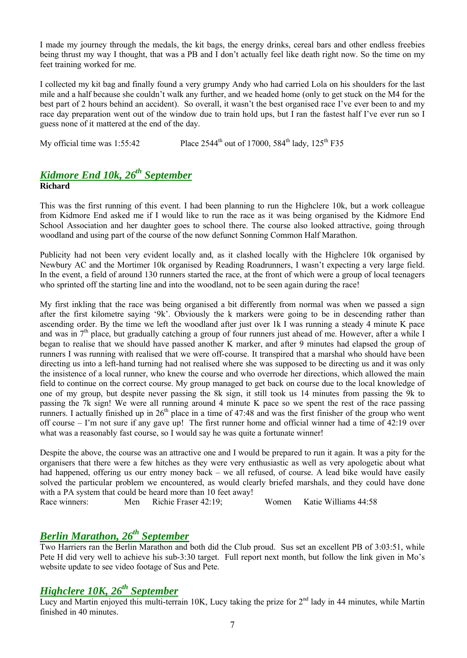I made my journey through the medals, the kit bags, the energy drinks, cereal bars and other endless freebies being thrust my way I thought, that was a PB and I don't actually feel like death right now. So the time on my feet training worked for me.

I collected my kit bag and finally found a very grumpy Andy who had carried Lola on his shoulders for the last mile and a half because she couldn't walk any further, and we headed home (only to get stuck on the M4 for the best part of 2 hours behind an accident). So overall, it wasn't the best organised race I've ever been to and my race day preparation went out of the window due to train hold ups, but I ran the fastest half I've ever run so I guess none of it mattered at the end of the day.

My official time was 1:55:42 Place  $2544^{\text{th}}$  out of 17000,  $584^{\text{th}}$  lady,  $125^{\text{th}}$  F35

## *Kidmore End 10k, 26th September* **Richard**

This was the first running of this event. I had been planning to run the Highclere 10k, but a work colleague from Kidmore End asked me if I would like to run the race as it was being organised by the Kidmore End School Association and her daughter goes to school there. The course also looked attractive, going through woodland and using part of the course of the now defunct Sonning Common Half Marathon.

Publicity had not been very evident locally and, as it clashed locally with the Highclere 10k organised by Newbury AC and the Mortimer 10k organised by Reading Roadrunners, I wasn't expecting a very large field. In the event, a field of around 130 runners started the race, at the front of which were a group of local teenagers who sprinted off the starting line and into the woodland, not to be seen again during the race!

My first inkling that the race was being organised a bit differently from normal was when we passed a sign after the first kilometre saying '9k'. Obviously the k markers were going to be in descending rather than ascending order. By the time we left the woodland after just over 1k I was running a steady 4 minute K pace and was in  $7<sup>th</sup>$  place, but gradually catching a group of four runners just ahead of me. However, after a while I began to realise that we should have passed another K marker, and after 9 minutes had elapsed the group of runners I was running with realised that we were off-course. It transpired that a marshal who should have been directing us into a left-hand turning had not realised where she was supposed to be directing us and it was only the insistence of a local runner, who knew the course and who overrode her directions, which allowed the main field to continue on the correct course. My group managed to get back on course due to the local knowledge of one of my group, but despite never passing the 8k sign, it still took us 14 minutes from passing the 9k to passing the 7k sign! We were all running around 4 minute K pace so we spent the rest of the race passing runners. I actually finished up in  $26<sup>th</sup>$  place in a time of 47:48 and was the first finisher of the group who went off course – I'm not sure if any gave up! The first runner home and official winner had a time of 42:19 over what was a reasonably fast course, so I would say he was quite a fortunate winner!

Despite the above, the course was an attractive one and I would be prepared to run it again. It was a pity for the organisers that there were a few hitches as they were very enthusiastic as well as very apologetic about what had happened, offering us our entry money back – we all refused, of course. A lead bike would have easily solved the particular problem we encountered, as would clearly briefed marshals, and they could have done with a PA system that could be heard more than 10 feet away!

Race winners: Men Richie Fraser 42:19; Women Katie Williams 44:58

# *Berlin Marathon, 26th September*

Two Harriers ran the Berlin Marathon and both did the Club proud. Sus set an excellent PB of 3:03:51, while Pete H did very well to achieve his sub-3:30 target. Full report next month, but follow the link given in Mo's website update to see video footage of Sus and Pete.

# *Highclere 10K, 26th September*

Lucy and Martin enjoyed this multi-terrain 10K, Lucy taking the prize for  $2<sup>nd</sup>$  lady in 44 minutes, while Martin finished in 40 minutes.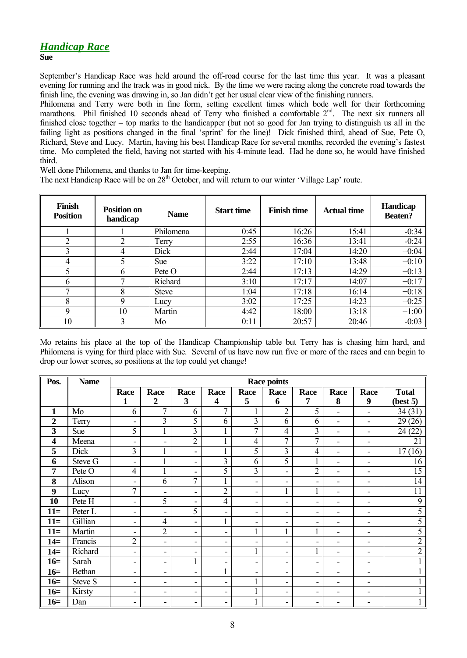# *Handicap Race*

September's Handicap Race was held around the off-road course for the last time this year. It was a pleasant evening for running and the track was in good nick. By the time we were racing along the concrete road towards the finish line, the evening was drawing in, so Jan didn't get her usual clear view of the finishing runners.

Philomena and Terry were both in fine form, setting excellent times which bode well for their forthcoming marathons. Phil finished 10 seconds ahead of Terry who finished a comfortable 2<sup>nd</sup>. The next six runners all finished close together – top marks to the handicapper (but not so good for Jan trying to distinguish us all in the failing light as positions changed in the final 'sprint' for the line)! Dick finished third, ahead of Sue, Pete O, Richard, Steve and Lucy. Martin, having his best Handicap Race for several months, recorded the evening's fastest time. Mo completed the field, having not started with his 4-minute lead. Had he done so, he would have finished third.

Well done Philomena, and thanks to Jan for time-keeping.

The next Handicap Race will be on 28<sup>th</sup> October, and will return to our winter 'Village Lap' route.

| Finish<br><b>Position</b> | <b>Position on</b><br>handicap | <b>Name</b>  | <b>Start time</b> | <b>Finish time</b> | <b>Actual time</b> | <b>Handicap</b><br><b>Beaten?</b> |
|---------------------------|--------------------------------|--------------|-------------------|--------------------|--------------------|-----------------------------------|
|                           |                                | Philomena    | 0:45              | 16:26              | 15:41              | $-0:34$                           |
| ↑                         |                                | Terry        | 2:55              | 16:36              | 13:41              | $-0:24$                           |
| 3                         | 4                              | Dick         | 2:44              | 17:04              | 14:20              | $+0:04$                           |
| 4                         |                                | <b>Sue</b>   | 3:22              | 17:10              | 13:48              | $+0:10$                           |
|                           | 6                              | Pete O       | 2:44              | 17:13              | 14:29              | $+0:13$                           |
| 6                         |                                | Richard      | 3:10              | 17:17              | 14:07              | $+0:17$                           |
| ┑                         | 8                              | <b>Steve</b> | 1:04              | 17:18              | 16:14              | $+0:18$                           |
| 8                         | 9                              | Lucy         | 3:02              | 17:25              | 14:23              | $+0:25$                           |
| 9                         | 10                             | Martin       | 4:42              | 18:00              | 13:18              | $+1:00$                           |
| 10                        | 3                              | Mo           | 0:11              | 20:57              | 20:46              | $-0:03$                           |

Mo retains his place at the top of the Handicap Championship table but Terry has is chasing him hard, and Philomena is vying for third place with Sue. Several of us have now run five or more of the races and can begin to drop our lower scores, so positions at the top could yet change!

| Pos.             | <b>Name</b> | <b>Race points</b>           |                          |                          |                          |                              |                |                          |                          |                              |                 |
|------------------|-------------|------------------------------|--------------------------|--------------------------|--------------------------|------------------------------|----------------|--------------------------|--------------------------|------------------------------|-----------------|
|                  |             | Race                         | Race                     | Race                     | Race                     | Race                         | Race           | Race                     | Race                     | Race                         | <b>Total</b>    |
|                  |             | $\mathbf{1}$                 | $\overline{2}$           | 3                        | $\overline{\mathbf{4}}$  | 5                            | 6              | 7                        | 8                        | 9                            | (best 5)        |
| $\mathbf{1}$     | Mo          | 6                            | $\tau$                   | 6                        | $\overline{7}$           | 1                            | $\overline{2}$ | 5                        | $\blacksquare$           | $\blacksquare$               | 34(31)          |
| $\boldsymbol{2}$ | Terry       | $\blacksquare$               | $\overline{3}$           | 5                        | 6                        | $\overline{3}$               | 6              | 6                        | $\blacksquare$           | $\overline{\phantom{a}}$     | 29(26)          |
| 3                | <b>Sue</b>  | 5                            | 1                        | 3                        | $\mathbf{1}$             | 7                            | 4              | 3                        | $\blacksquare$           | $\overline{\phantom{a}}$     | 24(22)          |
| 4                | Meena       | $\overline{\phantom{0}}$     | -                        | $\overline{2}$           | $\mathbf{1}$             | $\overline{4}$               | $\overline{7}$ | $\overline{7}$           | $\blacksquare$           | $\qquad \qquad \blacksquare$ | 21              |
| 5                | Dick        | 3                            | $\mathbf{1}$             | ٠                        | $\mathbf{1}$             | 5                            | 3              | 4                        | $\blacksquare$           | $\overline{\phantom{0}}$     | 17(16)          |
| 6                | Steve G     | $\overline{a}$               | $\mathbf{1}$             | $\blacksquare$           | $\overline{3}$           | 6                            | 5              |                          | $\overline{\phantom{0}}$ | ۰                            | 16              |
| 7                | Pete O      | $\overline{4}$               | 1                        | ٠                        | 5                        | $\overline{\mathbf{3}}$      | ۰              | $\overline{2}$           | $\overline{\phantom{a}}$ | $\overline{\phantom{a}}$     | $\overline{15}$ |
| 8                | Alison      | $\overline{a}$               | 6                        | $\overline{7}$           | $\mathbf{1}$             | -                            | ۰              | $\overline{\phantom{a}}$ | $\overline{\phantom{a}}$ | $\overline{\phantom{a}}$     | 14              |
| 9                | Lucy        | 7                            | ٠                        | ٠                        | $\overline{2}$           | $\blacksquare$               | 1<br>1         | $\mathbf{1}$             | $\blacksquare$           | $\qquad \qquad \blacksquare$ | 11              |
| 10               | Pete H      | -                            | 5                        | ۰.                       | $\overline{4}$           | ٠                            | ۰              | $\blacksquare$           | $\overline{\phantom{0}}$ | $\overline{\phantom{0}}$     | 9               |
| $11=$            | Peter L     | $\qquad \qquad \blacksquare$ | $\blacksquare$           | 5                        | Ξ.                       | $\qquad \qquad \blacksquare$ | ۰              | $\overline{\phantom{a}}$ | $\overline{\phantom{0}}$ | ٠                            | 5               |
| $11=$            | Gillian     | $\overline{\phantom{a}}$     | $\overline{4}$           | ۰                        | $\mathbf{1}$             | $\overline{\phantom{a}}$     | -              | $\overline{\phantom{a}}$ | $\overline{\phantom{a}}$ | $\qquad \qquad \blacksquare$ | 5               |
| $11=$            | Martin      | $\qquad \qquad \blacksquare$ | $\overline{2}$           | ۰                        | ۰                        | $\mathbf{1}$                 | $\mathbf{1}$   | $\mathbf{1}$             | $\blacksquare$           | $\qquad \qquad \blacksquare$ | 5               |
| $14=$            | Francis     | $\overline{2}$               | $\blacksquare$           | $\overline{\phantom{a}}$ | ۰                        | ۰                            | ۰              | $\blacksquare$           | $\overline{\phantom{a}}$ | $\overline{a}$               | $\overline{2}$  |
| $14=$            | Richard     | -                            | ۰                        | $\overline{\phantom{a}}$ | ۰                        | $\mathbf{1}$                 | ۰              | 1                        | $\overline{\phantom{0}}$ | $\overline{\phantom{a}}$     | $\overline{2}$  |
| $16=$            | Sarah       | -                            | -                        | $\mathbf{1}$             | ۰                        | $\qquad \qquad \blacksquare$ | ۰              | $\overline{\phantom{a}}$ | $\overline{\phantom{0}}$ | ۰                            |                 |
| $16=$            | Bethan      | -                            | $\overline{\phantom{a}}$ | $\overline{\phantom{a}}$ | $\mathbf{1}$             | $\overline{\phantom{a}}$     | ۰              | $\overline{\phantom{a}}$ | $\overline{\phantom{a}}$ | $\qquad \qquad \blacksquare$ |                 |
| $16=$            | Steve S     | -                            | ۰                        | $\overline{\phantom{a}}$ | $\overline{\phantom{0}}$ | $\mathbf{1}$                 | ۰              | $\overline{\phantom{a}}$ | $\overline{\phantom{a}}$ | $\blacksquare$               |                 |
| $16=$            | Kirsty      | -                            | ۰                        | $\overline{\phantom{a}}$ | -                        |                              | ۰              | $\overline{\phantom{a}}$ | $\overline{\phantom{a}}$ | $\qquad \qquad \blacksquare$ |                 |
| $16=$            | Dan         | -                            | -                        | ۰.                       | ۰                        | $\mathbf{1}$                 | ۰              | $\overline{\phantom{a}}$ | $\overline{\phantom{0}}$ | ٠                            |                 |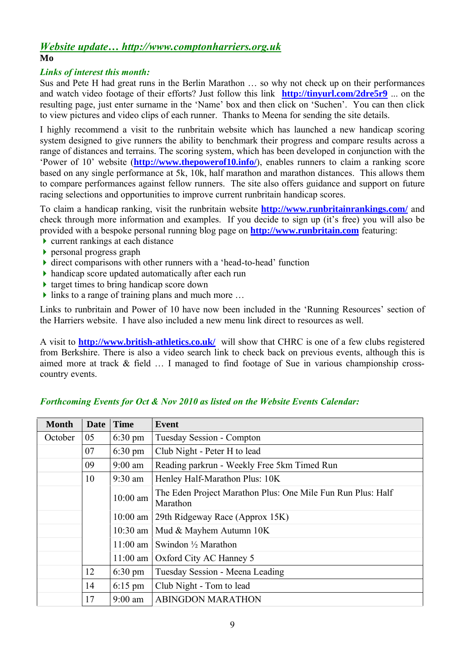#### *Website update… http://www.comptonharriers.org.uk* **Mo**

### *Links of interest this month:*

Sus and Pete H had great runs in the Berlin Marathon … so why not check up on their performances and watch video footage of their efforts? Just follow this link **http://tinyurl.com/2dre5r9** ... on the resulting page, just enter surname in the 'Name' box and then click on 'Suchen'. You can then click to view pictures and video clips of each runner. Thanks to Meena for sending the site details.

I highly recommend a visit to the runbritain website which has launched a new handicap scoring system designed to give runners the ability to benchmark their progress and compare results across a range of distances and terrains. The scoring system, which has been developed in conjunction with the 'Power of 10' website (**http://www.thepowerof10.info/**), enables runners to claim a ranking score based on any single performance at 5k, 10k, half marathon and marathon distances. This allows them to compare performances against fellow runners. The site also offers guidance and support on future racing selections and opportunities to improve current runbritain handicap scores.

To claim a handicap ranking, visit the runbritain website **http://www.runbritainrankings.com/** and check through more information and examples. If you decide to sign up (it's free) you will also be provided with a bespoke personal running blog page on **http://www.runbritain.com** featuring:

- current rankings at each distance
- personal progress graph
- direct comparisons with other runners with a 'head-to-head' function
- handicap score updated automatically after each run
- $\triangleright$  target times to bring handicap score down
- $\blacktriangleright$  links to a range of training plans and much more ...

Links to runbritain and Power of 10 have now been included in the 'Running Resources' section of the Harriers website. I have also included a new menu link direct to resources as well.

A visit to **http://www.british-athletics.co.uk/** will show that CHRC is one of a few clubs registered from Berkshire. There is also a video search link to check back on previous events, although this is aimed more at track & field … I managed to find footage of Sue in various championship crosscountry events.

| <b>Month</b> | Date | <b>Time</b>                                                                                                                                                                     | <b>Event</b>                                |
|--------------|------|---------------------------------------------------------------------------------------------------------------------------------------------------------------------------------|---------------------------------------------|
| October      | 05   | $6:30 \text{ pm}$                                                                                                                                                               | Tuesday Session - Compton                   |
|              | 07   | $6:30 \text{ pm}$                                                                                                                                                               | Club Night - Peter H to lead                |
|              | 09   | $9:00$ am                                                                                                                                                                       | Reading parkrun - Weekly Free 5km Timed Run |
|              | 10   | Henley Half-Marathon Plus: 10K<br>$9:30$ am                                                                                                                                     |                                             |
|              |      | The Eden Project Marathon Plus: One Mile Fun Run Plus: Half<br>$10:00$ am<br>Marathon<br>$10:00$ am<br>29th Ridgeway Race (Approx 15K)<br>Mud & Mayhem Autumn 10K<br>$10:30$ am |                                             |
|              |      |                                                                                                                                                                                 |                                             |
|              |      |                                                                                                                                                                                 |                                             |
|              |      | $11:00$ am                                                                                                                                                                      | Swindon $\frac{1}{2}$ Marathon              |
|              |      | $11:00$ am                                                                                                                                                                      | Oxford City AC Hanney 5                     |
|              | 12   | $6:30 \text{ pm}$                                                                                                                                                               | Tuesday Session - Meena Leading             |
|              | 14   | $6:15$ pm                                                                                                                                                                       | Club Night - Tom to lead                    |
|              | 17   | $9:00$ am                                                                                                                                                                       | <b>ABINGDON MARATHON</b>                    |

### *Forthcoming Events for Oct & Nov 2010 as listed on the Website Events Calendar:*